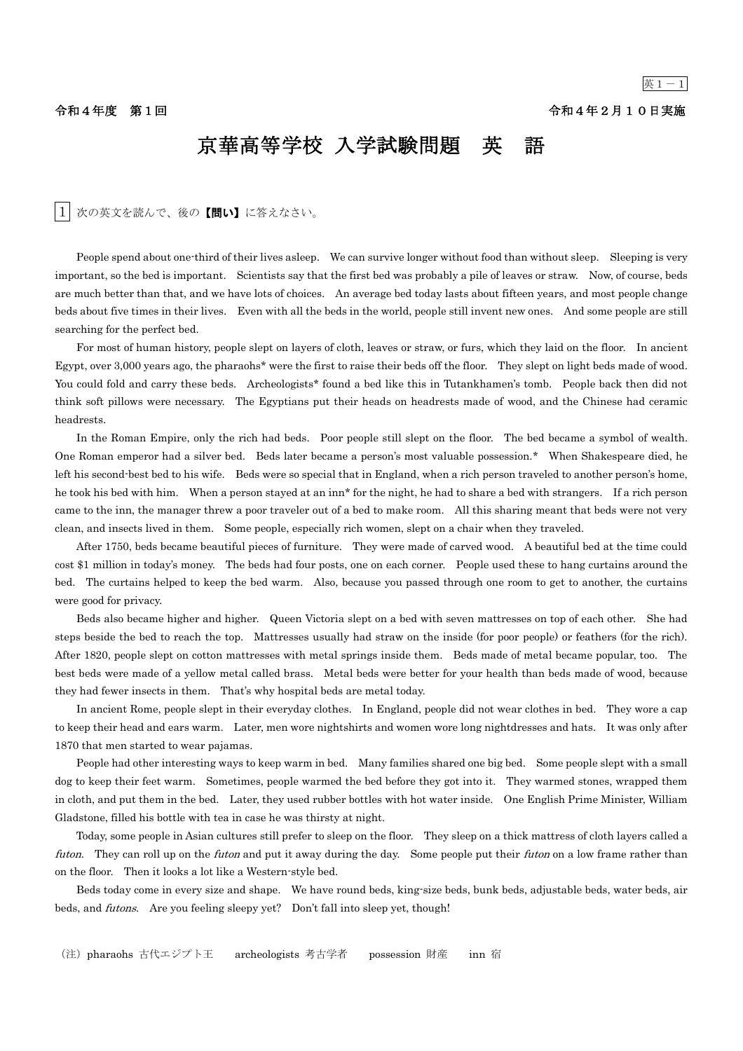令和4年度 第1回 きょうしょう しゅうしょう しゅうしゅん かんきょう 今和4年2月10日実施

## 京華高等学校 入学試験問題 英 語

|1| 次の英文を読んで、後の【**問い】**に答えなさい。

People spend about one-third of their lives asleep. We can survive longer without food than without sleep. Sleeping is very important, so the bed is important. Scientists say that the first bed was probably a pile of leaves or straw. Now, of course, beds are much better than that, and we have lots of choices. An average bed today lasts about fifteen years, and most people change beds about five times in their lives. Even with all the beds in the world, people still invent new ones. And some people are still searching for the perfect bed.

For most of human history, people slept on layers of cloth, leaves or straw, or furs, which they laid on the floor. In ancient Egypt, over 3,000 years ago, the pharaohs\* were the first to raise their beds off the floor. They slept on light beds made of wood. You could fold and carry these beds. Archeologists\* found a bed like this in Tutankhamen's tomb. People back then did not think soft pillows were necessary. The Egyptians put their heads on headrests made of wood, and the Chinese had ceramic headrests.

In the Roman Empire, only the rich had beds. Poor people still slept on the floor. The bed became a symbol of wealth. One Roman emperor had a silver bed. Beds later became a person's most valuable possession.\* When Shakespeare died, he left his second-best bed to his wife. Beds were so special that in England, when a rich person traveled to another person's home, he took his bed with him. When a person stayed at an inn\* for the night, he had to share a bed with strangers. If a rich person came to the inn, the manager threw a poor traveler out of a bed to make room. All this sharing meant that beds were not very clean, and insects lived in them. Some people, especially rich women, slept on a chair when they traveled.

After 1750, beds became beautiful pieces of furniture. They were made of carved wood. A beautiful bed at the time could cost \$1 million in today's money. The beds had four posts, one on each corner. People used these to hang curtains around the bed. The curtains helped to keep the bed warm. Also, because you passed through one room to get to another, the curtains were good for privacy.

Beds also became higher and higher. Queen Victoria slept on a bed with seven mattresses on top of each other. She had steps beside the bed to reach the top. Mattresses usually had straw on the inside (for poor people) or feathers (for the rich). After 1820, people slept on cotton mattresses with metal springs inside them. Beds made of metal became popular, too. The best beds were made of a yellow metal called brass. Metal beds were better for your health than beds made of wood, because they had fewer insects in them. That's why hospital beds are metal today.

In ancient Rome, people slept in their everyday clothes. In England, people did not wear clothes in bed. They wore a cap to keep their head and ears warm. Later, men wore nightshirts and women wore long nightdresses and hats. It was only after 1870 that men started to wear pajamas.

People had other interesting ways to keep warm in bed. Many families shared one big bed. Some people slept with a small dog to keep their feet warm. Sometimes, people warmed the bed before they got into it. They warmed stones, wrapped them in cloth, and put them in the bed. Later, they used rubber bottles with hot water inside. One English Prime Minister, William Gladstone, filled his bottle with tea in case he was thirsty at night.

Today, some people in Asian cultures still prefer to sleep on the floor. They sleep on a thick mattress of cloth layers called a futon. They can roll up on the futon and put it away during the day. Some people put their futon on a low frame rather than on the floor. Then it looks a lot like a Western-style bed.

Beds today come in every size and shape. We have round beds, king-size beds, bunk beds, adjustable beds, water beds, air beds, and *futons*. Are you feeling sleepy yet? Don't fall into sleep yet, though!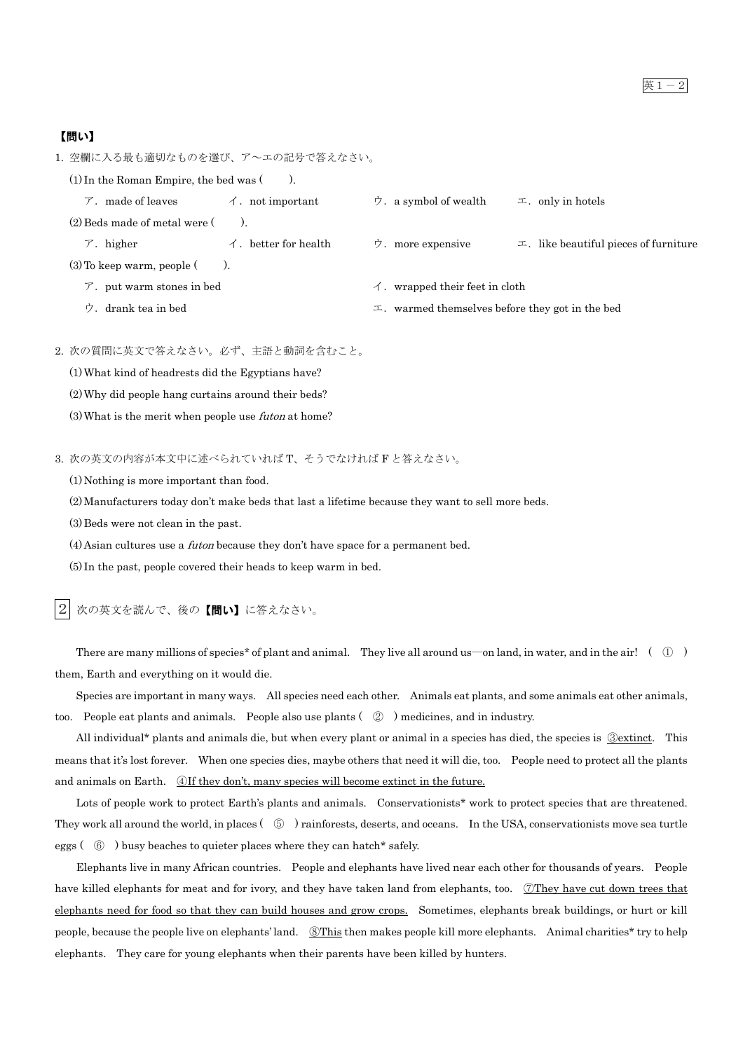## 【問い】

1. 空欄に入る最も適切なものを選び、ア~エの記号で答えなさい。

 $(1)$  In the Roman Empire, the bed was  $($ ).

- ア. made of leaves  $\checkmark$ . not important ウ. a symbol of wealth エ. only in hotels
- $(2)$  Beds made of metal were  $($ ).

 $(3)$  To keep warm, people  $($ ).

ア. higher  $\checkmark$ . better for health ウ. more expensive エ. like beautiful pieces of furniture

- ア. put warm stones in bed  $\checkmark$ .wrapped their feet in cloth
- ウ. drank tea in bed  $\Box$  warmed themselves before they got in the bed
- 2. 次の質問に英文で答えなさい。必ず、主語と動詞を含むこと。

(1)What kind of headrests did the Egyptians have?

(2)Why did people hang curtains around their beds?

(3)What is the merit when people use futon at home?

3. 次の英文の内容が本文中に述べられていれば T、そうでなければ F と答えなさい。

(1)Nothing is more important than food.

(2)Manufacturers today don't make beds that last a lifetime because they want to sell more beds.

(3)Beds were not clean in the past.

(4) Asian cultures use a *futon* because they don't have space for a permanent bed.

(5) In the past, people covered their heads to keep warm in bed.

次の英文を読んで、後の【問い】に答えなさい。

There are many millions of species\* of plant and animal. They live all around us—on land, in water, and in the air!  $( \circ \circ \circ)$ them, Earth and everything on it would die.

 Species are important in many ways. All species need each other. Animals eat plants, and some animals eat other animals, too. People eat plants and animals. People also use plants ( ② ) medicines, and in industry.

All individual\* plants and animals die, but when every plant or animal in a species has died, the species is **③extinct**. This means that it's lost forever. When one species dies, maybe others that need it will die, too. People need to protect all the plants and animals on Earth. ④If they don't, many species will become extinct in the future.

Lots of people work to protect Earth's plants and animals. Conservationists\* work to protect species that are threatened. They work all around the world, in places ( $\circled{5}$ ) rainforests, deserts, and oceans. In the USA, conservationists move sea turtle eggs ( $\circled{6}$ ) busy beaches to quieter places where they can hatch\* safely.

 Elephants live in many African countries. People and elephants have lived near each other for thousands of years. People have killed elephants for meat and for ivory, and they have taken land from elephants, too. ⑦They have cut down trees that elephants need for food so that they can build houses and grow crops. Sometimes, elephants break buildings, or hurt or kill people, because the people live on elephants' land. **<u>⑧This</u>** then makes people kill more elephants. Animal charities\* try to help elephants. They care for young elephants when their parents have been killed by hunters.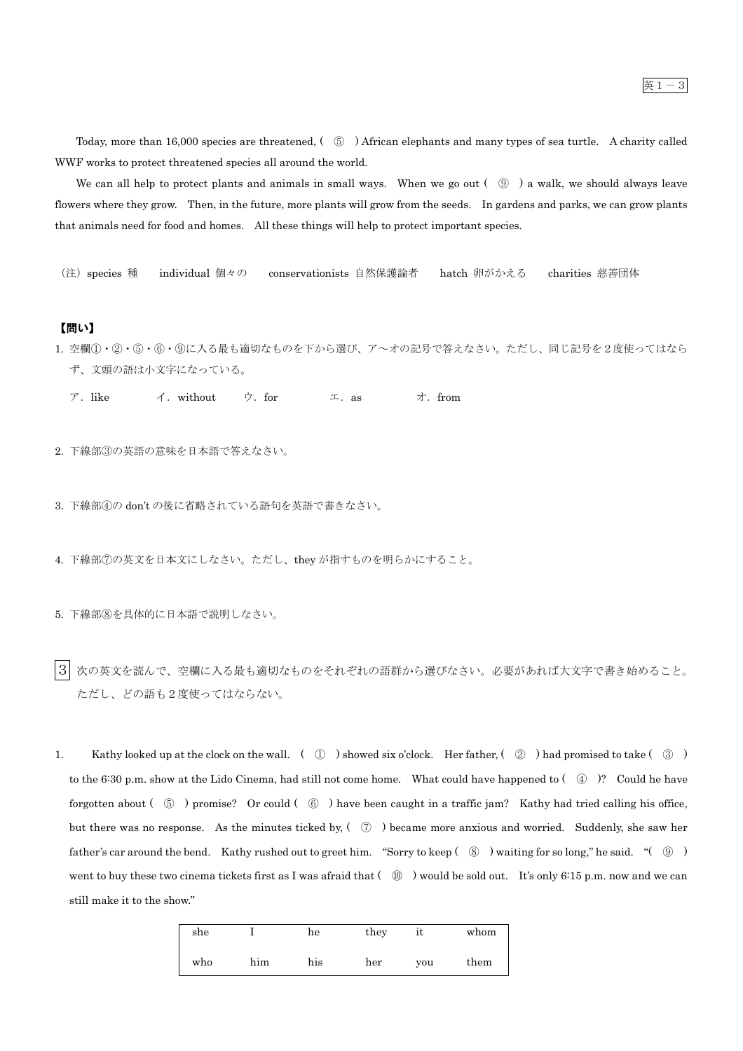Today, more than 16,000 species are threatened, ( ⑤ ) African elephants and many types of sea turtle. A charity called WWF works to protect threatened species all around the world.

We can all help to protect plants and animals in small ways. When we go out ( $\circled{0}$ ) a walk, we should always leave flowers where they grow. Then, in the future, more plants will grow from the seeds. In gardens and parks, we can grow plants that animals need for food and homes. All these things will help to protect important species.

(注) species 種 individual 個々の conservationists 自然保護論者 hatch 卵がかえる charities 慈善団体

## 【問い】

- 1. 空欄①・②・⑤・⑥・⑨に入る最も適切なものを下から選び、ア~オの記号で答えなさい。ただし、同じ記号を2度使ってはなら ず、文頭の語は小文字になっている。
	- ア. like  $\checkmark$ . without ウ. for エ. as オ. from
- 2. 下線部③の英語の意味を日本語で答えなさい。
- 3. 下線部④の don't の後に省略されている語句を英語で書きなさい。
- 4. 下線部⑦の英文を日本文にしなさい。ただし、they が指すものを明らかにすること。
- 5. 下線部⑧を具体的に日本語で説明しなさい。
- |3| 次の英文を読んで、空欄に入る最も適切なものをそれぞれの語群から選びなさい。必要があれば大文字で書き始めること。 ただし、どの語も2度使ってはならない。
- 1. Kathy looked up at the clock on the wall. ( ① ) showed six o'clock. Her father, ( ② ) had promised to take ( ③ ) to the 6:30 p.m. show at the Lido Cinema, had still not come home. What could have happened to ( ④ )? Could he have forgotten about (  $\circled{5}$  ) promise? Or could (  $\circled{6}$  ) have been caught in a traffic jam? Kathy had tried calling his office, but there was no response. As the minutes ticked by,  $(\circled{7})$  became more anxious and worried. Suddenly, she saw her father's car around the bend. Kathy rushed out to greet him. "Sorry to keep (  $\circled$  ) waiting for so long," he said. "(  $\circledcirc$  ) went to buy these two cinema tickets first as I was afraid that ( $\circled{0}$ ) would be sold out. It's only 6:15 p.m. now and we can still make it to the show."

| she |     | he           | they | ıt  | whom |
|-----|-----|--------------|------|-----|------|
| who | him | $_{\rm his}$ | her  | you | them |